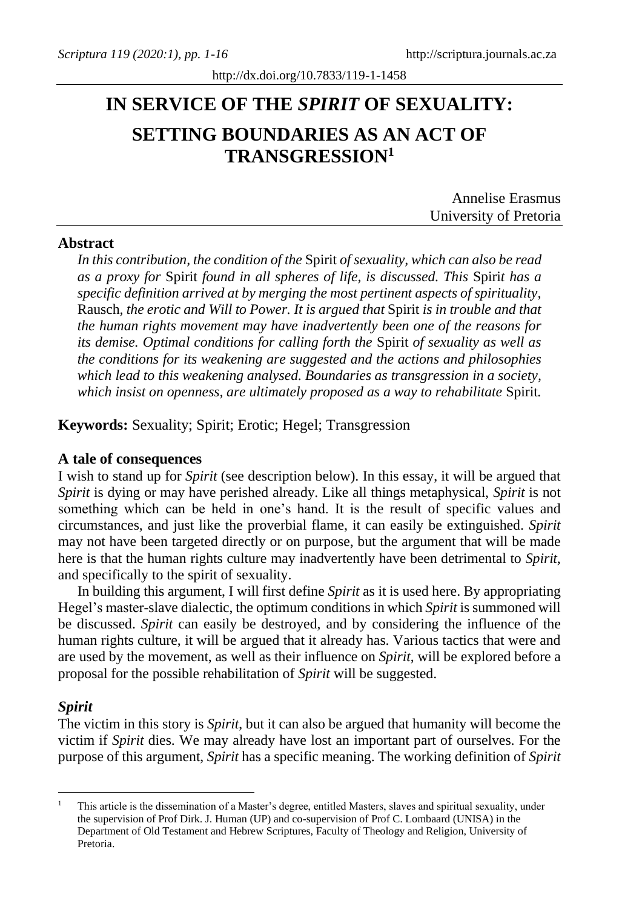# **IN SERVICE OF THE** *SPIRIT* **OF SEXUALITY: SETTING BOUNDARIES AS AN ACT OF TRANSGRESSION<sup>1</sup>**

| <b>Annelise Erasmus</b> |
|-------------------------|
| University of Pretoria  |

# **Abstract**

*In this contribution, the condition of the* Spirit *of sexuality, which can also be read as a proxy for* Spirit *found in all spheres of life, is discussed. This* Spiri*t has a specific definition arrived at by merging the most pertinent aspects of spirituality,*  Rausch*, the erotic and Will to Power. It is argued that* Spirit *is in trouble and that the human rights movement may have inadvertently been one of the reasons for its demise. Optimal conditions for calling forth the* Spirit *of sexuality as well as the conditions for its weakening are suggested and the actions and philosophies which lead to this weakening analysed. Boundaries as transgression in a society, which insist on openness, are ultimately proposed as a way to rehabilitate* Spirit*.* 

**Keywords:** Sexuality; Spirit; Erotic; Hegel; Transgression

## **A tale of consequences**

I wish to stand up for *Spirit* (see description below). In this essay, it will be argued that *Spirit* is dying or may have perished already. Like all things metaphysical, *Spirit* is not something which can be held in one's hand. It is the result of specific values and circumstances, and just like the proverbial flame, it can easily be extinguished. *Spirit*  may not have been targeted directly or on purpose, but the argument that will be made here is that the human rights culture may inadvertently have been detrimental to *Spirit*, and specifically to the spirit of sexuality.

In building this argument, I will first define *Spirit* as it is used here. By appropriating Hegel's master-slave dialectic, the optimum conditions in which *Spirit* is summoned will be discussed. *Spirit* can easily be destroyed, and by considering the influence of the human rights culture, it will be argued that it already has. Various tactics that were and are used by the movement, as well as their influence on *Spirit*, will be explored before a proposal for the possible rehabilitation of *Spirit* will be suggested.

# *Spirit*

The victim in this story is *Spirit*, but it can also be argued that humanity will become the victim if *Spirit* dies. We may already have lost an important part of ourselves. For the purpose of this argument, *Spirit* has a specific meaning. The working definition of *Spirit*

<sup>1</sup> This article is the dissemination of a Master's degree, entitled Masters, slaves and spiritual sexuality, under the supervision of Prof Dirk. J. Human (UP) and co-supervision of Prof C. Lombaard (UNISA) in the Department of Old Testament and Hebrew Scriptures, Faculty of Theology and Religion, University of Pretoria.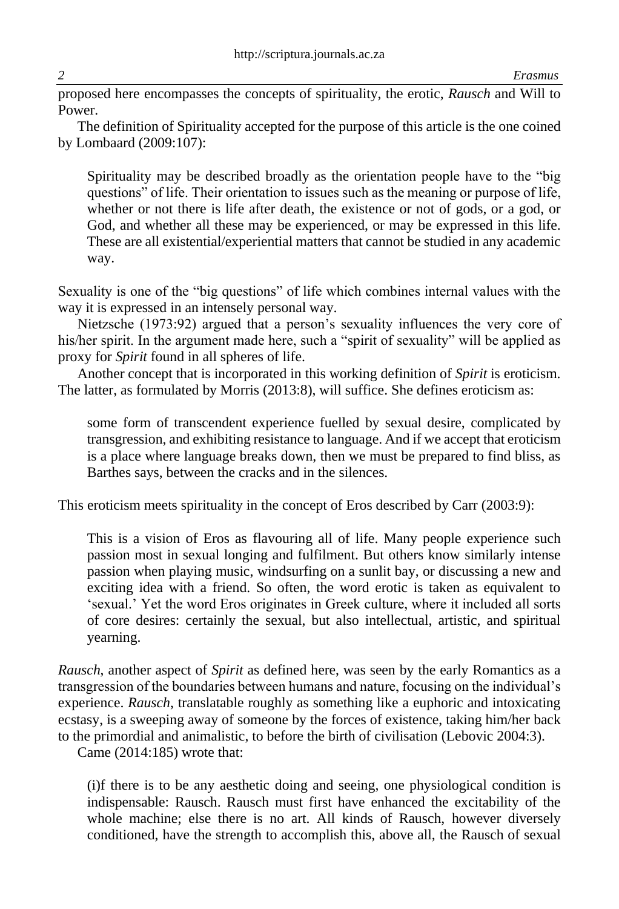proposed here encompasses the concepts of spirituality, the erotic, *Rausch* and Will to Power.

The definition of Spirituality accepted for the purpose of this article is the one coined by Lombaard (2009:107):

Spirituality may be described broadly as the orientation people have to the "big questions" of life. Their orientation to issues such as the meaning or purpose of life, whether or not there is life after death, the existence or not of gods, or a god, or God, and whether all these may be experienced, or may be expressed in this life. These are all existential/experiential matters that cannot be studied in any academic way.

Sexuality is one of the "big questions" of life which combines internal values with the way it is expressed in an intensely personal way.

Nietzsche (1973:92) argued that a person's sexuality influences the very core of his/her spirit. In the argument made here, such a "spirit of sexuality" will be applied as proxy for *Spirit* found in all spheres of life.

Another concept that is incorporated in this working definition of *Spirit* is eroticism. The latter, as formulated by Morris (2013:8), will suffice. She defines eroticism as:

some form of transcendent experience fuelled by sexual desire, complicated by transgression, and exhibiting resistance to language. And if we accept that eroticism is a place where language breaks down, then we must be prepared to find bliss, as Barthes says, between the cracks and in the silences.

This eroticism meets spirituality in the concept of Eros described by Carr (2003:9):

This is a vision of Eros as flavouring all of life. Many people experience such passion most in sexual longing and fulfilment. But others know similarly intense passion when playing music, windsurfing on a sunlit bay, or discussing a new and exciting idea with a friend. So often, the word erotic is taken as equivalent to 'sexual.' Yet the word Eros originates in Greek culture, where it included all sorts of core desires: certainly the sexual, but also intellectual, artistic, and spiritual yearning.

*Rausch*, another aspect of *Spirit* as defined here, was seen by the early Romantics as a transgression of the boundaries between humans and nature, focusing on the individual's experience. *Rausch*, translatable roughly as something like a euphoric and intoxicating ecstasy, is a sweeping away of someone by the forces of existence, taking him/her back to the primordial and animalistic, to before the birth of civilisation (Lebovic 2004:3).

Came (2014:185) wrote that:

(i)f there is to be any aesthetic doing and seeing, one physiological condition is indispensable: Rausch. Rausch must first have enhanced the excitability of the whole machine; else there is no art. All kinds of Rausch, however diversely conditioned, have the strength to accomplish this, above all, the Rausch of sexual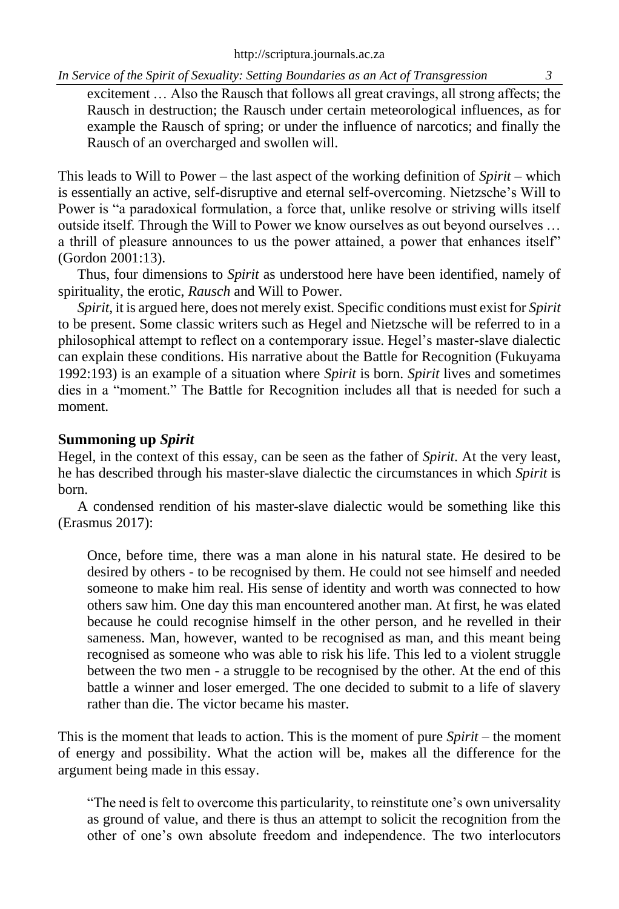excitement … Also the Rausch that follows all great cravings, all strong affects; the Rausch in destruction; the Rausch under certain meteorological influences, as for example the Rausch of spring; or under the influence of narcotics; and finally the Rausch of an overcharged and swollen will.

This leads to Will to Power – the last aspect of the working definition of *Spirit* – which is essentially an active, self-disruptive and eternal self-overcoming. Nietzsche's Will to Power is "a paradoxical formulation, a force that, unlike resolve or striving wills itself outside itself. Through the Will to Power we know ourselves as out beyond ourselves … a thrill of pleasure announces to us the power attained, a power that enhances itself" (Gordon 2001:13).

Thus, four dimensions to *Spirit* as understood here have been identified, namely of spirituality, the erotic, *Rausch* and Will to Power.

*Spirit*, it is argued here, does not merely exist. Specific conditions must exist for *Spirit* to be present. Some classic writers such as Hegel and Nietzsche will be referred to in a philosophical attempt to reflect on a contemporary issue. Hegel's master-slave dialectic can explain these conditions. His narrative about the Battle for Recognition (Fukuyama 1992:193) is an example of a situation where *Spirit* is born. *Spirit* lives and sometimes dies in a "moment." The Battle for Recognition includes all that is needed for such a moment.

# **Summoning up** *Spirit*

Hegel, in the context of this essay, can be seen as the father of *Spirit*. At the very least, he has described through his master-slave dialectic the circumstances in which *Spirit* is born.

A condensed rendition of his master-slave dialectic would be something like this (Erasmus 2017):

Once, before time, there was a man alone in his natural state. He desired to be desired by others - to be recognised by them. He could not see himself and needed someone to make him real. His sense of identity and worth was connected to how others saw him. One day this man encountered another man. At first, he was elated because he could recognise himself in the other person, and he revelled in their sameness. Man, however, wanted to be recognised as man, and this meant being recognised as someone who was able to risk his life. This led to a violent struggle between the two men - a struggle to be recognised by the other. At the end of this battle a winner and loser emerged. The one decided to submit to a life of slavery rather than die. The victor became his master.

This is the moment that leads to action. This is the moment of pure *Spirit* – the moment of energy and possibility. What the action will be, makes all the difference for the argument being made in this essay.

"The need is felt to overcome this particularity, to reinstitute one's own universality as ground of value, and there is thus an attempt to solicit the recognition from the other of one's own absolute freedom and independence. The two interlocutors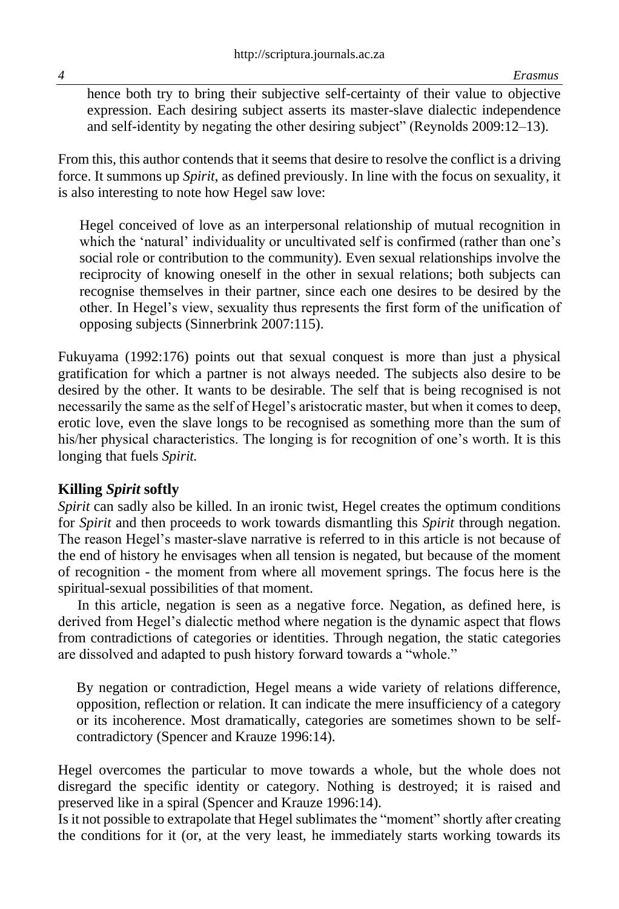hence both try to bring their subjective self-certainty of their value to objective expression. Each desiring subject asserts its master-slave dialectic independence and self-identity by negating the other desiring subject" (Reynolds 2009:12–13).

From this, this author contends that it seems that desire to resolve the conflict is a driving force. It summons up *Spirit*, as defined previously. In line with the focus on sexuality, it is also interesting to note how Hegel saw love:

Hegel conceived of love as an interpersonal relationship of mutual recognition in which the 'natural' individuality or uncultivated self is confirmed (rather than one's social role or contribution to the community). Even sexual relationships involve the reciprocity of knowing oneself in the other in sexual relations; both subjects can recognise themselves in their partner, since each one desires to be desired by the other. In Hegel's view, sexuality thus represents the first form of the unification of opposing subjects (Sinnerbrink 2007:115).

Fukuyama (1992:176) points out that sexual conquest is more than just a physical gratification for which a partner is not always needed. The subjects also desire to be desired by the other. It wants to be desirable. The self that is being recognised is not necessarily the same as the self of Hegel's aristocratic master, but when it comes to deep, erotic love, even the slave longs to be recognised as something more than the sum of his/her physical characteristics. The longing is for recognition of one's worth. It is this longing that fuels *Spirit.*

# **Killing** *Spirit* **softly**

*Spirit* can sadly also be killed. In an ironic twist, Hegel creates the optimum conditions for *Spirit* and then proceeds to work towards dismantling this *Spirit* through negation. The reason Hegel's master-slave narrative is referred to in this article is not because of the end of history he envisages when all tension is negated, but because of the moment of recognition - the moment from where all movement springs. The focus here is the spiritual-sexual possibilities of that moment.

In this article, negation is seen as a negative force. Negation, as defined here, is derived from Hegel's dialectic method where negation is the dynamic aspect that flows from contradictions of categories or identities. Through negation, the static categories are dissolved and adapted to push history forward towards a "whole."

By negation or contradiction, Hegel means a wide variety of relations difference, opposition, reflection or relation. It can indicate the mere insufficiency of a category or its incoherence. Most dramatically, categories are sometimes shown to be selfcontradictory (Spencer and Krauze 1996:14).

Hegel overcomes the particular to move towards a whole, but the whole does not disregard the specific identity or category. Nothing is destroyed; it is raised and preserved like in a spiral (Spencer and Krauze 1996:14).

Is it not possible to extrapolate that Hegel sublimates the "moment" shortly after creating the conditions for it (or, at the very least, he immediately starts working towards its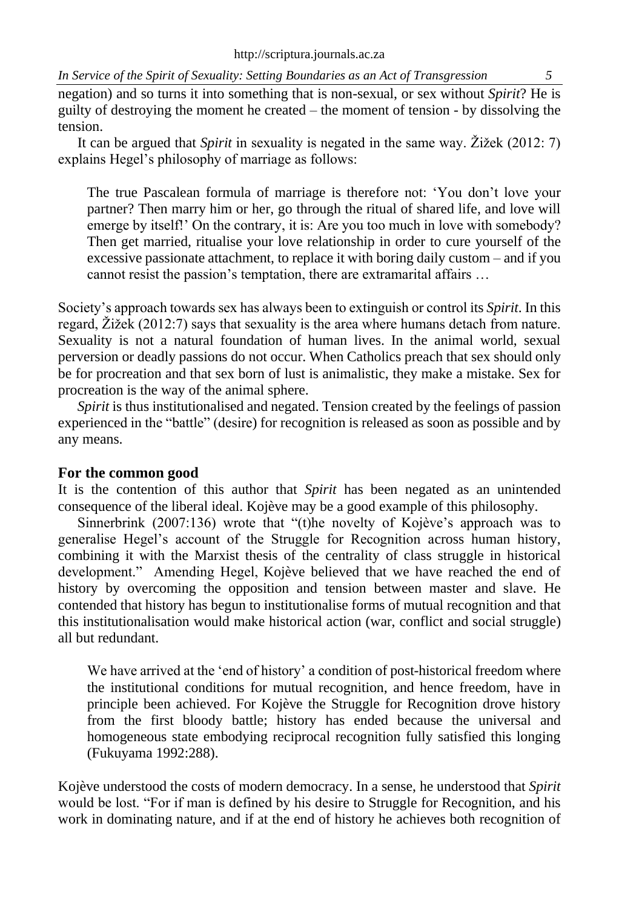negation) and so turns it into something that is non-sexual, or sex without *Spirit*? He is guilty of destroying the moment he created – the moment of tension - by dissolving the tension.

It can be argued that *Spirit* in sexuality is negated in the same way. Žižek (2012: 7) explains Hegel's philosophy of marriage as follows:

The true Pascalean formula of marriage is therefore not: 'You don't love your partner? Then marry him or her, go through the ritual of shared life, and love will emerge by itself!' On the contrary, it is: Are you too much in love with somebody? Then get married, ritualise your love relationship in order to cure yourself of the excessive passionate attachment, to replace it with boring daily custom – and if you cannot resist the passion's temptation, there are extramarital affairs …

Society's approach towards sex has always been to extinguish or control its *Spirit*. In this regard, Žižek (2012:7) says that sexuality is the area where humans detach from nature. Sexuality is not a natural foundation of human lives. In the animal world, sexual perversion or deadly passions do not occur. When Catholics preach that sex should only be for procreation and that sex born of lust is animalistic, they make a mistake. Sex for procreation is the way of the animal sphere.

*Spirit* is thus institutionalised and negated. Tension created by the feelings of passion experienced in the "battle" (desire) for recognition is released as soon as possible and by any means.

# **For the common good**

It is the contention of this author that *Spirit* has been negated as an unintended consequence of the liberal ideal. Kojève may be a good example of this philosophy.

Sinnerbrink (2007:136) wrote that "(t)he novelty of Kojève's approach was to generalise Hegel's account of the Struggle for Recognition across human history, combining it with the Marxist thesis of the centrality of class struggle in historical development." Amending Hegel, Kojève believed that we have reached the end of history by overcoming the opposition and tension between master and slave. He contended that history has begun to institutionalise forms of mutual recognition and that this institutionalisation would make historical action (war, conflict and social struggle) all but redundant.

We have arrived at the 'end of history' a condition of post-historical freedom where the institutional conditions for mutual recognition, and hence freedom, have in principle been achieved. For Kojève the Struggle for Recognition drove history from the first bloody battle; history has ended because the universal and homogeneous state embodying reciprocal recognition fully satisfied this longing (Fukuyama 1992:288).

Kojève understood the costs of modern democracy. In a sense, he understood that *Spirit*  would be lost. "For if man is defined by his desire to Struggle for Recognition, and his work in dominating nature, and if at the end of history he achieves both recognition of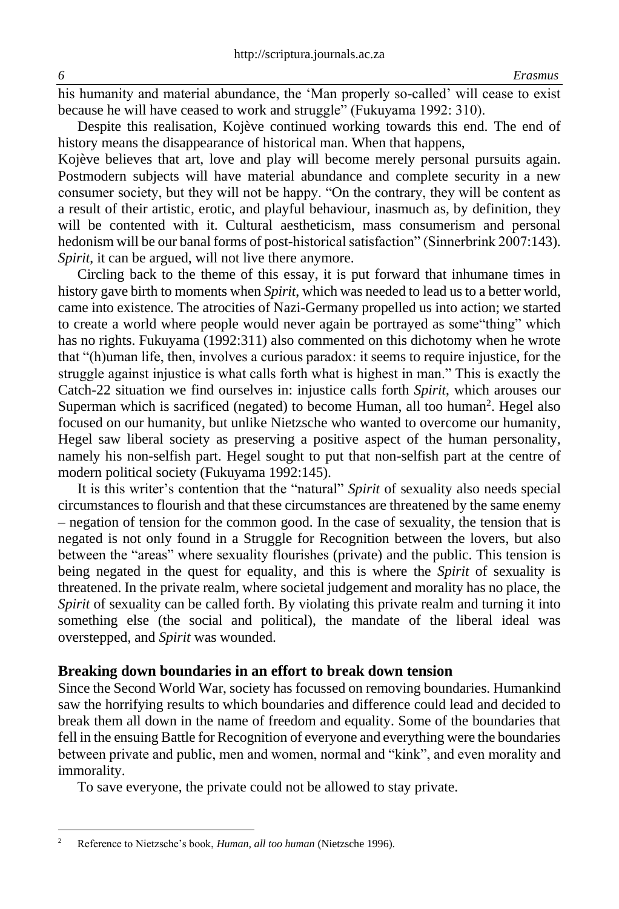his humanity and material abundance, the 'Man properly so-called' will cease to exist because he will have ceased to work and struggle" (Fukuyama 1992: 310).

Despite this realisation, Kojève continued working towards this end. The end of history means the disappearance of historical man. When that happens,

Kojève believes that art, love and play will become merely personal pursuits again. Postmodern subjects will have material abundance and complete security in a new consumer society, but they will not be happy. "On the contrary, they will be content as a result of their artistic, erotic, and playful behaviour, inasmuch as, by definition, they will be contented with it. Cultural aestheticism, mass consumerism and personal hedonism will be our banal forms of post-historical satisfaction" (Sinnerbrink 2007:143). *Spirit*, it can be argued, will not live there anymore.

Circling back to the theme of this essay, it is put forward that inhumane times in history gave birth to moments when *Spirit*, which was needed to lead us to a better world, came into existence. The atrocities of Nazi-Germany propelled us into action; we started to create a world where people would never again be portrayed as some"thing" which has no rights. Fukuyama (1992:311) also commented on this dichotomy when he wrote that "(h)uman life, then, involves a curious paradox: it seems to require injustice, for the struggle against injustice is what calls forth what is highest in man." This is exactly the Catch-22 situation we find ourselves in: injustice calls forth *Spirit*, which arouses our Superman which is sacrificed (negated) to become Human, all too human<sup>2</sup>. Hegel also focused on our humanity, but unlike Nietzsche who wanted to overcome our humanity, Hegel saw liberal society as preserving a positive aspect of the human personality, namely his non-selfish part. Hegel sought to put that non-selfish part at the centre of modern political society (Fukuyama 1992:145).

It is this writer's contention that the "natural" *Spirit* of sexuality also needs special circumstances to flourish and that these circumstances are threatened by the same enemy – negation of tension for the common good. In the case of sexuality, the tension that is negated is not only found in a Struggle for Recognition between the lovers, but also between the "areas" where sexuality flourishes (private) and the public. This tension is being negated in the quest for equality, and this is where the *Spirit* of sexuality is threatened. In the private realm, where societal judgement and morality has no place, the *Spirit* of sexuality can be called forth. By violating this private realm and turning it into something else (the social and political), the mandate of the liberal ideal was overstepped, and *Spirit* was wounded.

#### **Breaking down boundaries in an effort to break down tension**

Since the Second World War, society has focussed on removing boundaries. Humankind saw the horrifying results to which boundaries and difference could lead and decided to break them all down in the name of freedom and equality. Some of the boundaries that fell in the ensuing Battle for Recognition of everyone and everything were the boundaries between private and public, men and women, normal and "kink", and even morality and immorality.

To save everyone, the private could not be allowed to stay private.

<sup>2</sup> Reference to Nietzsche's book, *Human, all too human* (Nietzsche 1996)*.*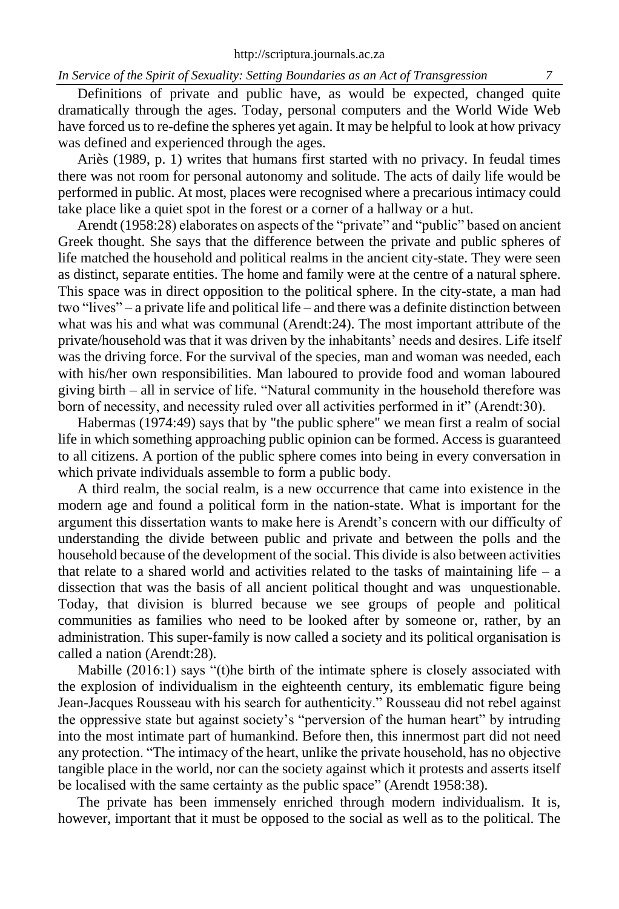Definitions of private and public have, as would be expected, changed quite dramatically through the ages. Today, personal computers and the World Wide Web have forced us to re-define the spheres yet again. It may be helpful to look at how privacy was defined and experienced through the ages.

Ariès (1989, p. 1) writes that humans first started with no privacy. In feudal times there was not room for personal autonomy and solitude. The acts of daily life would be performed in public. At most, places were recognised where a precarious intimacy could take place like a quiet spot in the forest or a corner of a hallway or a hut.

Arendt (1958:28) elaborates on aspects of the "private" and "public" based on ancient Greek thought. She says that the difference between the private and public spheres of life matched the household and political realms in the ancient city-state. They were seen as distinct, separate entities. The home and family were at the centre of a natural sphere. This space was in direct opposition to the political sphere. In the city-state, a man had two "lives" – a private life and political life – and there was a definite distinction between what was his and what was communal (Arendt:24). The most important attribute of the private/household was that it was driven by the inhabitants' needs and desires. Life itself was the driving force. For the survival of the species, man and woman was needed, each with his/her own responsibilities. Man laboured to provide food and woman laboured giving birth – all in service of life. "Natural community in the household therefore was born of necessity, and necessity ruled over all activities performed in it" (Arendt:30).

Habermas (1974:49) says that by "the public sphere" we mean first a realm of social life in which something approaching public opinion can be formed. Access is guaranteed to all citizens. A portion of the public sphere comes into being in every conversation in which private individuals assemble to form a public body.

A third realm, the social realm, is a new occurrence that came into existence in the modern age and found a political form in the nation-state. What is important for the argument this dissertation wants to make here is Arendt's concern with our difficulty of understanding the divide between public and private and between the polls and the household because of the development of the social. This divide is also between activities that relate to a shared world and activities related to the tasks of maintaining life  $-$  a dissection that was the basis of all ancient political thought and was unquestionable. Today, that division is blurred because we see groups of people and political communities as families who need to be looked after by someone or, rather, by an administration. This super-family is now called a society and its political organisation is called a nation (Arendt:28).

Mabille (2016:1) says "(t)he birth of the intimate sphere is closely associated with the explosion of individualism in the eighteenth century, its emblematic figure being Jean-Jacques Rousseau with his search for authenticity." Rousseau did not rebel against the oppressive state but against society's "perversion of the human heart" by intruding into the most intimate part of humankind. Before then, this innermost part did not need any protection. "The intimacy of the heart, unlike the private household, has no objective tangible place in the world, nor can the society against which it protests and asserts itself be localised with the same certainty as the public space" (Arendt 1958:38).

The private has been immensely enriched through modern individualism. It is, however, important that it must be opposed to the social as well as to the political. The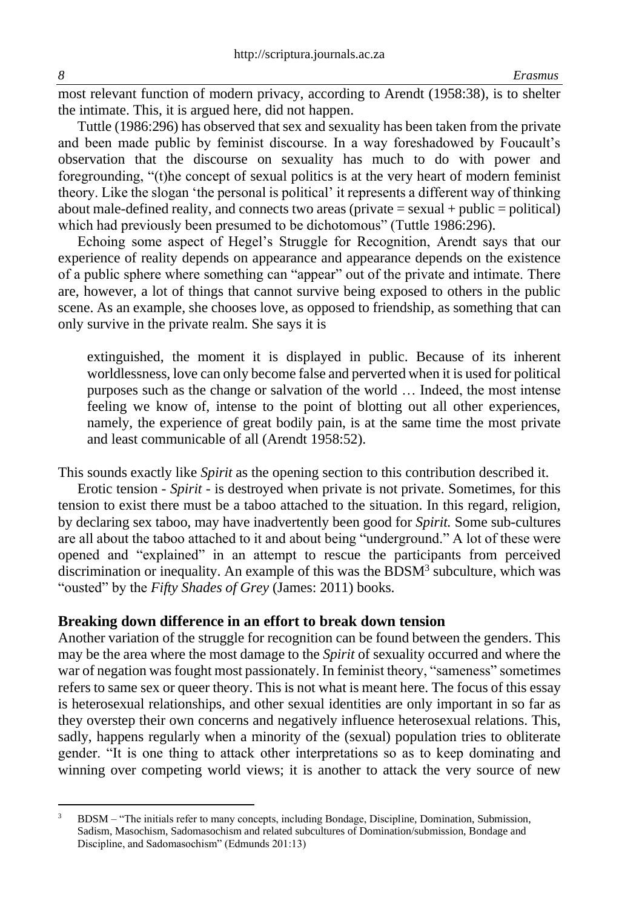most relevant function of modern privacy, according to Arendt (1958:38), is to shelter the intimate. This, it is argued here, did not happen.

Tuttle (1986:296) has observed that sex and sexuality has been taken from the private and been made public by feminist discourse. In a way foreshadowed by Foucault's observation that the discourse on sexuality has much to do with power and foregrounding, "(t)he concept of sexual politics is at the very heart of modern feminist theory. Like the slogan 'the personal is political' it represents a different way of thinking about male-defined reality, and connects two areas (private = sexual + public = political) which had previously been presumed to be dichotomous" (Tuttle 1986:296).

Echoing some aspect of Hegel's Struggle for Recognition, Arendt says that our experience of reality depends on appearance and appearance depends on the existence of a public sphere where something can "appear" out of the private and intimate. There are, however, a lot of things that cannot survive being exposed to others in the public scene. As an example, she chooses love, as opposed to friendship, as something that can only survive in the private realm. She says it is

extinguished, the moment it is displayed in public. Because of its inherent worldlessness, love can only become false and perverted when it is used for political purposes such as the change or salvation of the world … Indeed, the most intense feeling we know of, intense to the point of blotting out all other experiences, namely, the experience of great bodily pain, is at the same time the most private and least communicable of all (Arendt 1958:52).

This sounds exactly like *Spirit* as the opening section to this contribution described it.

Erotic tension - *Spirit* - is destroyed when private is not private. Sometimes, for this tension to exist there must be a taboo attached to the situation. In this regard, religion, by declaring sex taboo, may have inadvertently been good for *Spirit.* Some sub-cultures are all about the taboo attached to it and about being "underground." A lot of these were opened and "explained" in an attempt to rescue the participants from perceived discrimination or inequality. An example of this was the BDSM<sup>3</sup> subculture, which was "ousted" by the *Fifty Shades of Grey* (James: 2011) books.

#### **Breaking down difference in an effort to break down tension**

Another variation of the struggle for recognition can be found between the genders. This may be the area where the most damage to the *Spirit* of sexuality occurred and where the war of negation was fought most passionately. In feminist theory, "sameness" sometimes refers to same sex or queer theory. This is not what is meant here. The focus of this essay is heterosexual relationships, and other sexual identities are only important in so far as they overstep their own concerns and negatively influence heterosexual relations. This, sadly, happens regularly when a minority of the (sexual) population tries to obliterate gender. "It is one thing to attack other interpretations so as to keep dominating and winning over competing world views; it is another to attack the very source of new

<sup>&</sup>lt;sup>3</sup> BDSM – "The initials refer to many concepts, including Bondage, Discipline, Domination, Submission, Sadism, Masochism, Sadomasochism and related subcultures of Domination/submission, Bondage and Discipline, and Sadomasochism" (Edmunds 201:13)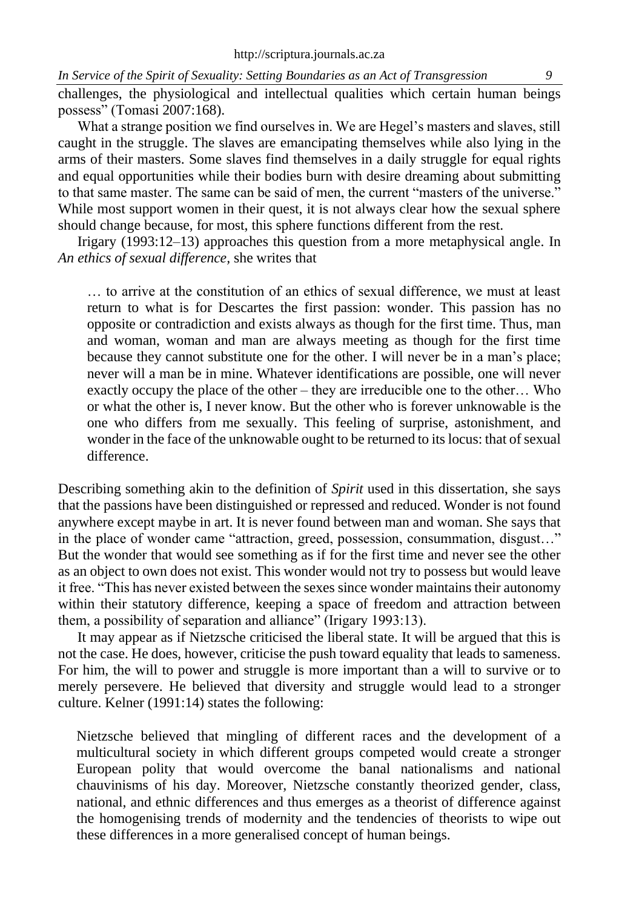challenges, the physiological and intellectual qualities which certain human beings possess" (Tomasi 2007:168).

What a strange position we find ourselves in. We are Hegel's masters and slaves, still caught in the struggle. The slaves are emancipating themselves while also lying in the arms of their masters. Some slaves find themselves in a daily struggle for equal rights and equal opportunities while their bodies burn with desire dreaming about submitting to that same master. The same can be said of men, the current "masters of the universe." While most support women in their quest, it is not always clear how the sexual sphere should change because, for most, this sphere functions different from the rest.

Irigary (1993:12–13) approaches this question from a more metaphysical angle. In *An ethics of sexual difference,* she writes that

… to arrive at the constitution of an ethics of sexual difference, we must at least return to what is for Descartes the first passion: wonder. This passion has no opposite or contradiction and exists always as though for the first time. Thus, man and woman, woman and man are always meeting as though for the first time because they cannot substitute one for the other. I will never be in a man's place; never will a man be in mine. Whatever identifications are possible, one will never exactly occupy the place of the other – they are irreducible one to the other… Who or what the other is, I never know. But the other who is forever unknowable is the one who differs from me sexually. This feeling of surprise, astonishment, and wonder in the face of the unknowable ought to be returned to its locus: that of sexual difference.

Describing something akin to the definition of *Spirit* used in this dissertation, she says that the passions have been distinguished or repressed and reduced. Wonder is not found anywhere except maybe in art. It is never found between man and woman. She says that in the place of wonder came "attraction, greed, possession, consummation, disgust…" But the wonder that would see something as if for the first time and never see the other as an object to own does not exist. This wonder would not try to possess but would leave it free. "This has never existed between the sexes since wonder maintains their autonomy within their statutory difference, keeping a space of freedom and attraction between them, a possibility of separation and alliance" (Irigary 1993:13).

It may appear as if Nietzsche criticised the liberal state. It will be argued that this is not the case. He does, however, criticise the push toward equality that leads to sameness. For him, the will to power and struggle is more important than a will to survive or to merely persevere. He believed that diversity and struggle would lead to a stronger culture. Kelner (1991:14) states the following:

Nietzsche believed that mingling of different races and the development of a multicultural society in which different groups competed would create a stronger European polity that would overcome the banal nationalisms and national chauvinisms of his day. Moreover, Nietzsche constantly theorized gender, class, national, and ethnic differences and thus emerges as a theorist of difference against the homogenising trends of modernity and the tendencies of theorists to wipe out these differences in a more generalised concept of human beings.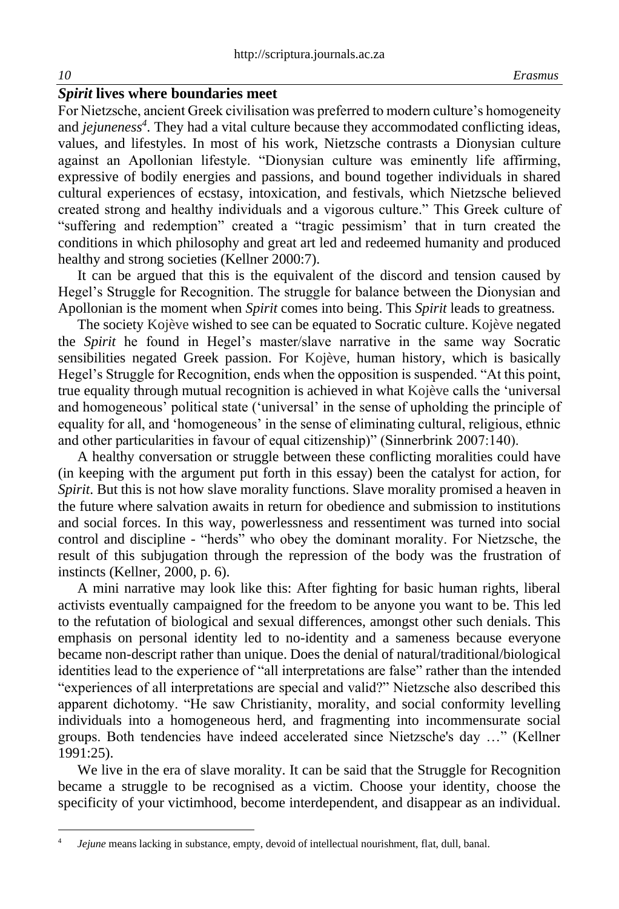# *Spirit* **lives where boundaries meet**

For Nietzsche, ancient Greek civilisation was preferred to modern culture's homogeneity and *jejuneness<sup>4</sup>* . They had a vital culture because they accommodated conflicting ideas, values, and lifestyles. In most of his work, Nietzsche contrasts a Dionysian culture against an Apollonian lifestyle. "Dionysian culture was eminently life affirming, expressive of bodily energies and passions, and bound together individuals in shared cultural experiences of ecstasy, intoxication, and festivals, which Nietzsche believed created strong and healthy individuals and a vigorous culture." This Greek culture of "suffering and redemption" created a "tragic pessimism' that in turn created the conditions in which philosophy and great art led and redeemed humanity and produced healthy and strong societies (Kellner 2000:7).

It can be argued that this is the equivalent of the discord and tension caused by Hegel's Struggle for Recognition. The struggle for balance between the Dionysian and Apollonian is the moment when *Spirit* comes into being. This *Spirit* leads to greatness.

The society Kojève wished to see can be equated to Socratic culture. Kojève negated the *Spirit* he found in Hegel's master/slave narrative in the same way Socratic sensibilities negated Greek passion. For Kojève, human history, which is basically Hegel's Struggle for Recognition, ends when the opposition is suspended. "At this point, true equality through mutual recognition is achieved in what Kojève calls the 'universal and homogeneous' political state ('universal' in the sense of upholding the principle of equality for all, and 'homogeneous' in the sense of eliminating cultural, religious, ethnic and other particularities in favour of equal citizenship)" (Sinnerbrink 2007:140).

A healthy conversation or struggle between these conflicting moralities could have (in keeping with the argument put forth in this essay) been the catalyst for action, for *Spirit*. But this is not how slave morality functions. Slave morality promised a heaven in the future where salvation awaits in return for obedience and submission to institutions and social forces. In this way, powerlessness and ressentiment was turned into social control and discipline - "herds" who obey the dominant morality. For Nietzsche, the result of this subjugation through the repression of the body was the frustration of instincts (Kellner, 2000, p. 6).

A mini narrative may look like this: After fighting for basic human rights, liberal activists eventually campaigned for the freedom to be anyone you want to be. This led to the refutation of biological and sexual differences, amongst other such denials. This emphasis on personal identity led to no-identity and a sameness because everyone became non-descript rather than unique. Does the denial of natural/traditional/biological identities lead to the experience of "all interpretations are false" rather than the intended "experiences of all interpretations are special and valid?" Nietzsche also described this apparent dichotomy. "He saw Christianity, morality, and social conformity levelling individuals into a homogeneous herd, and fragmenting into incommensurate social groups. Both tendencies have indeed accelerated since Nietzsche's day …" (Kellner 1991:25).

We live in the era of slave morality. It can be said that the Struggle for Recognition became a struggle to be recognised as a victim. Choose your identity, choose the specificity of your victimhood, become interdependent, and disappear as an individual.

<sup>4</sup> *Jejune* means lacking in substance, empty, devoid of intellectual nourishment, flat, dull, banal.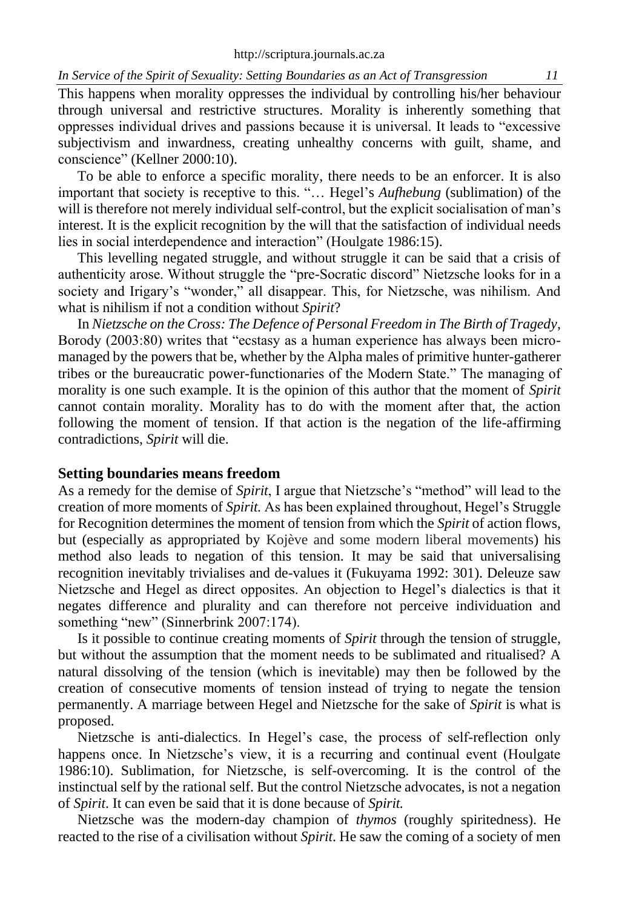This happens when morality oppresses the individual by controlling his/her behaviour through universal and restrictive structures. Morality is inherently something that oppresses individual drives and passions because it is universal. It leads to "excessive subjectivism and inwardness, creating unhealthy concerns with guilt, shame, and conscience" (Kellner 2000:10).

To be able to enforce a specific morality, there needs to be an enforcer. It is also important that society is receptive to this. "… Hegel's *Aufhebung* (sublimation) of the will is therefore not merely individual self-control, but the explicit socialisation of man's interest. It is the explicit recognition by the will that the satisfaction of individual needs lies in social interdependence and interaction" (Houlgate 1986:15).

This levelling negated struggle, and without struggle it can be said that a crisis of authenticity arose. Without struggle the "pre-Socratic discord" Nietzsche looks for in a society and Irigary's "wonder," all disappear. This, for Nietzsche, was nihilism. And what is nihilism if not a condition without *Spirit*?

In *Nietzsche on the Cross: The Defence of Personal Freedom in The Birth of Tragedy*, Borody (2003:80) writes that "ecstasy as a human experience has always been micromanaged by the powers that be, whether by the Alpha males of primitive hunter-gatherer tribes or the bureaucratic power-functionaries of the Modern State." The managing of morality is one such example. It is the opinion of this author that the moment of *Spirit* cannot contain morality. Morality has to do with the moment after that, the action following the moment of tension. If that action is the negation of the life-affirming contradictions, *Spirit* will die.

### **Setting boundaries means freedom**

As a remedy for the demise of *Spirit*, I argue that Nietzsche's "method" will lead to the creation of more moments of *Spirit.* As has been explained throughout, Hegel's Struggle for Recognition determines the moment of tension from which the *Spirit* of action flows, but (especially as appropriated by Kojève and some modern liberal movements) his method also leads to negation of this tension. It may be said that universalising recognition inevitably trivialises and de-values it (Fukuyama 1992: 301). Deleuze saw Nietzsche and Hegel as direct opposites. An objection to Hegel's dialectics is that it negates difference and plurality and can therefore not perceive individuation and something "new" (Sinnerbrink 2007:174).

Is it possible to continue creating moments of *Spirit* through the tension of struggle, but without the assumption that the moment needs to be sublimated and ritualised? A natural dissolving of the tension (which is inevitable) may then be followed by the creation of consecutive moments of tension instead of trying to negate the tension permanently. A marriage between Hegel and Nietzsche for the sake of *Spirit* is what is proposed.

Nietzsche is anti-dialectics. In Hegel's case, the process of self-reflection only happens once. In Nietzsche's view, it is a recurring and continual event (Houlgate 1986:10). Sublimation, for Nietzsche, is self-overcoming. It is the control of the instinctual self by the rational self. But the control Nietzsche advocates, is not a negation of *Spirit*. It can even be said that it is done because of *Spirit.*

Nietzsche was the modern-day champion of *thymos* (roughly spiritedness). He reacted to the rise of a civilisation without *Spirit*. He saw the coming of a society of men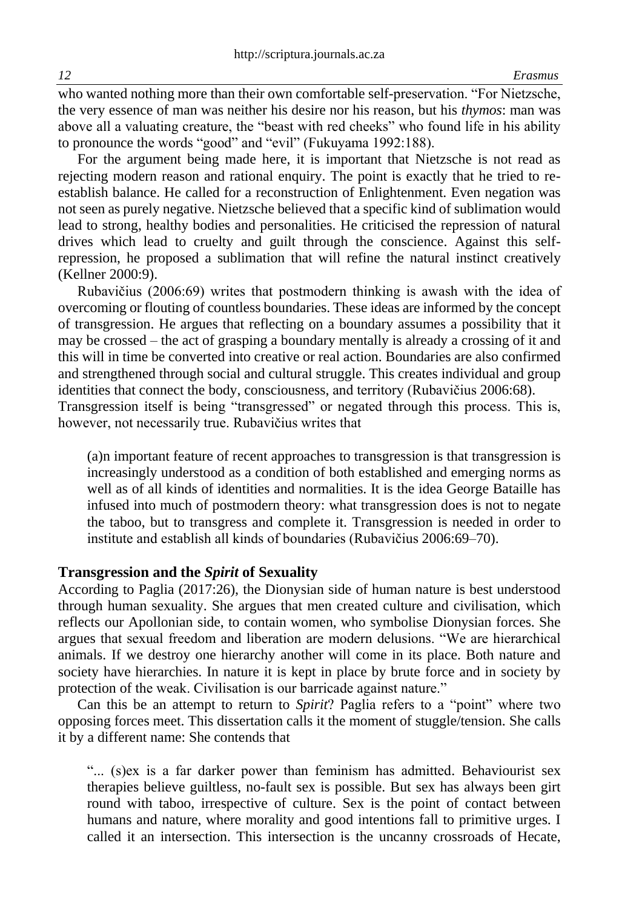who wanted nothing more than their own comfortable self-preservation. "For Nietzsche, the very essence of man was neither his desire nor his reason, but his *thymos*: man was above all a valuating creature, the "beast with red cheeks" who found life in his ability to pronounce the words "good" and "evil" (Fukuyama 1992:188).

For the argument being made here, it is important that Nietzsche is not read as rejecting modern reason and rational enquiry. The point is exactly that he tried to reestablish balance. He called for a reconstruction of Enlightenment. Even negation was not seen as purely negative. Nietzsche believed that a specific kind of sublimation would lead to strong, healthy bodies and personalities. He criticised the repression of natural drives which lead to cruelty and guilt through the conscience. Against this selfrepression, he proposed a sublimation that will refine the natural instinct creatively (Kellner 2000:9).

Rubavičius (2006:69) writes that postmodern thinking is awash with the idea of overcoming or flouting of countless boundaries. These ideas are informed by the concept of transgression. He argues that reflecting on a boundary assumes a possibility that it may be crossed – the act of grasping a boundary mentally is already a crossing of it and this will in time be converted into creative or real action. Boundaries are also confirmed and strengthened through social and cultural struggle. This creates individual and group identities that connect the body, consciousness, and territory (Rubavičius 2006:68). Transgression itself is being "transgressed" or negated through this process. This is,

however, not necessarily true. Rubavičius writes that

(a)n important feature of recent approaches to transgression is that transgression is increasingly understood as a condition of both established and emerging norms as well as of all kinds of identities and normalities. It is the idea George Bataille has infused into much of postmodern theory: what transgression does is not to negate the taboo, but to transgress and complete it. Transgression is needed in order to institute and establish all kinds of boundaries (Rubavičius 2006:69–70).

#### **Transgression and the** *Spirit* **of Sexuality**

According to Paglia (2017:26), the Dionysian side of human nature is best understood through human sexuality. She argues that men created culture and civilisation, which reflects our Apollonian side, to contain women, who symbolise Dionysian forces. She argues that sexual freedom and liberation are modern delusions. "We are hierarchical animals. If we destroy one hierarchy another will come in its place. Both nature and society have hierarchies. In nature it is kept in place by brute force and in society by protection of the weak. Civilisation is our barricade against nature."

Can this be an attempt to return to *Spirit*? Paglia refers to a "point" where two opposing forces meet. This dissertation calls it the moment of stuggle/tension. She calls it by a different name: She contends that

"... (s)ex is a far darker power than feminism has admitted. Behaviourist sex therapies believe guiltless, no-fault sex is possible. But sex has always been girt round with taboo, irrespective of culture. Sex is the point of contact between humans and nature, where morality and good intentions fall to primitive urges. I called it an intersection. This intersection is the uncanny crossroads of Hecate,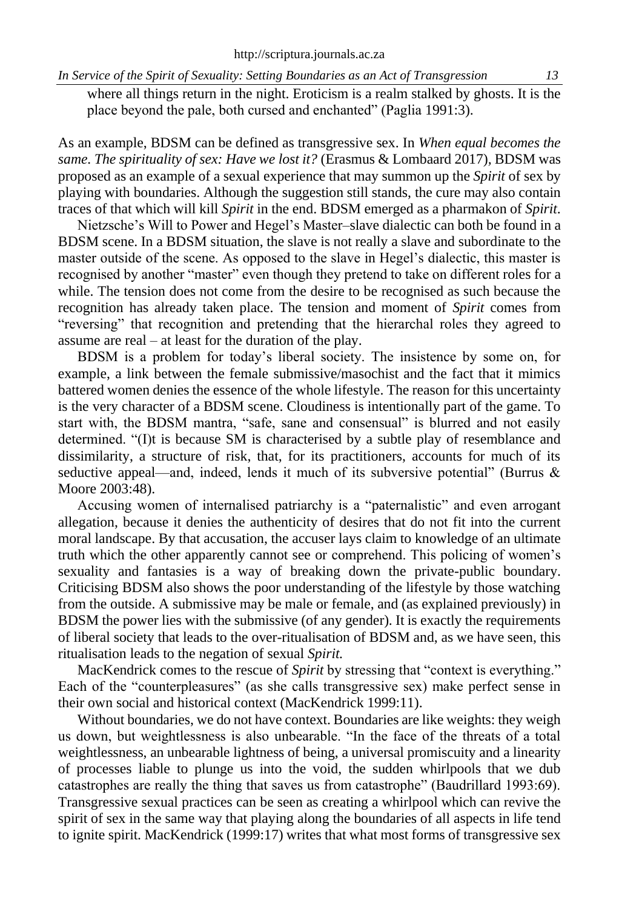where all things return in the night. Eroticism is a realm stalked by ghosts. It is the place beyond the pale, both cursed and enchanted" (Paglia 1991:3).

As an example, BDSM can be defined as transgressive sex. In *When equal becomes the same. The spirituality of sex: Have we lost it?* (Erasmus & Lombaard 2017)*,* BDSM was proposed as an example of a sexual experience that may summon up the *Spirit* of sex by playing with boundaries. Although the suggestion still stands, the cure may also contain traces of that which will kill *Spirit* in the end. BDSM emerged as a pharmakon of *Spirit*.

Nietzsche's Will to Power and Hegel's Master–slave dialectic can both be found in a BDSM scene. In a BDSM situation, the slave is not really a slave and subordinate to the master outside of the scene. As opposed to the slave in Hegel's dialectic, this master is recognised by another "master" even though they pretend to take on different roles for a while. The tension does not come from the desire to be recognised as such because the recognition has already taken place. The tension and moment of *Spirit* comes from "reversing" that recognition and pretending that the hierarchal roles they agreed to assume are real – at least for the duration of the play.

BDSM is a problem for today's liberal society. The insistence by some on, for example, a link between the female submissive/masochist and the fact that it mimics battered women denies the essence of the whole lifestyle. The reason for this uncertainty is the very character of a BDSM scene. Cloudiness is intentionally part of the game. To start with, the BDSM mantra, "safe, sane and consensual" is blurred and not easily determined. "(I)t is because SM is characterised by a subtle play of resemblance and dissimilarity, a structure of risk, that, for its practitioners, accounts for much of its seductive appeal—and, indeed, lends it much of its subversive potential" (Burrus & Moore 2003:48).

Accusing women of internalised patriarchy is a "paternalistic" and even arrogant allegation, because it denies the authenticity of desires that do not fit into the current moral landscape. By that accusation, the accuser lays claim to knowledge of an ultimate truth which the other apparently cannot see or comprehend. This policing of women's sexuality and fantasies is a way of breaking down the private-public boundary. Criticising BDSM also shows the poor understanding of the lifestyle by those watching from the outside. A submissive may be male or female, and (as explained previously) in BDSM the power lies with the submissive (of any gender). It is exactly the requirements of liberal society that leads to the over-ritualisation of BDSM and, as we have seen, this ritualisation leads to the negation of sexual *Spirit.*

MacKendrick comes to the rescue of *Spirit* by stressing that "context is everything." Each of the "counterpleasures" (as she calls transgressive sex) make perfect sense in their own social and historical context (MacKendrick 1999:11).

Without boundaries, we do not have context. Boundaries are like weights: they weigh us down, but weightlessness is also unbearable. "In the face of the threats of a total weightlessness, an unbearable lightness of being, a universal promiscuity and a linearity of processes liable to plunge us into the void, the sudden whirlpools that we dub catastrophes are really the thing that saves us from catastrophe" (Baudrillard 1993:69). Transgressive sexual practices can be seen as creating a whirlpool which can revive the spirit of sex in the same way that playing along the boundaries of all aspects in life tend to ignite spirit. MacKendrick (1999:17) writes that what most forms of transgressive sex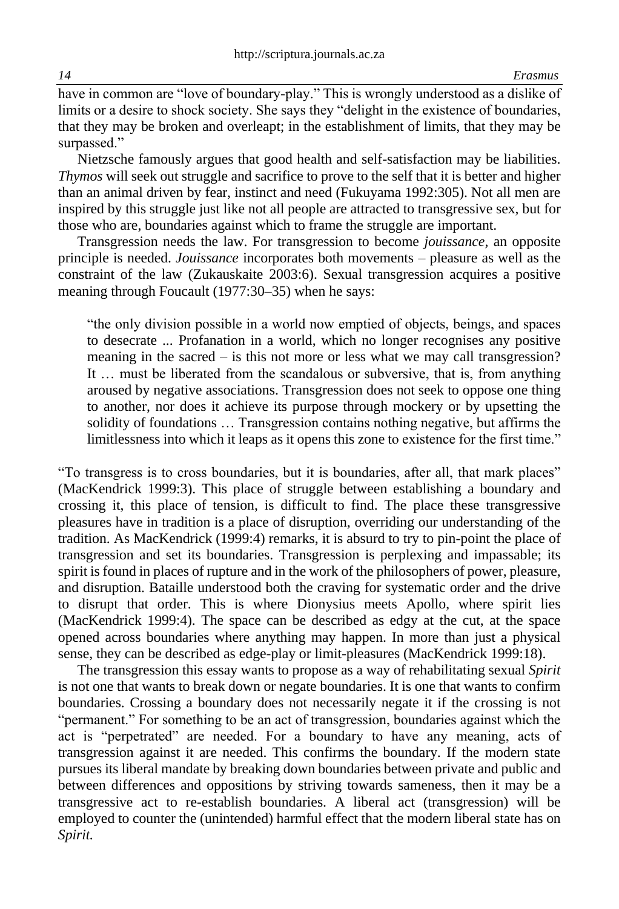have in common are "love of boundary-play." This is wrongly understood as a dislike of limits or a desire to shock society. She says they "delight in the existence of boundaries, that they may be broken and overleapt; in the establishment of limits, that they may be surpassed."

Nietzsche famously argues that good health and self-satisfaction may be liabilities. *Thymos* will seek out struggle and sacrifice to prove to the self that it is better and higher than an animal driven by fear, instinct and need (Fukuyama 1992:305). Not all men are inspired by this struggle just like not all people are attracted to transgressive sex, but for those who are, boundaries against which to frame the struggle are important.

Transgression needs the law. For transgression to become *jouissance,* an opposite principle is needed. *Jouissance* incorporates both movements – pleasure as well as the constraint of the law (Zukauskaite 2003:6). Sexual transgression acquires a positive meaning through Foucault (1977:30–35) when he says:

"the only division possible in a world now emptied of objects, beings, and spaces to desecrate ... Profanation in a world, which no longer recognises any positive meaning in the sacred – is this not more or less what we may call transgression? It … must be liberated from the scandalous or subversive, that is, from anything aroused by negative associations. Transgression does not seek to oppose one thing to another, nor does it achieve its purpose through mockery or by upsetting the solidity of foundations … Transgression contains nothing negative, but affirms the limitlessness into which it leaps as it opens this zone to existence for the first time."

"To transgress is to cross boundaries, but it is boundaries, after all, that mark places" (MacKendrick 1999:3). This place of struggle between establishing a boundary and crossing it, this place of tension, is difficult to find. The place these transgressive pleasures have in tradition is a place of disruption, overriding our understanding of the tradition. As MacKendrick (1999:4) remarks, it is absurd to try to pin-point the place of transgression and set its boundaries. Transgression is perplexing and impassable; its spirit is found in places of rupture and in the work of the philosophers of power, pleasure, and disruption. Bataille understood both the craving for systematic order and the drive to disrupt that order. This is where Dionysius meets Apollo, where spirit lies (MacKendrick 1999:4). The space can be described as edgy at the cut, at the space opened across boundaries where anything may happen. In more than just a physical sense, they can be described as edge-play or limit-pleasures (MacKendrick 1999:18).

The transgression this essay wants to propose as a way of rehabilitating sexual *Spirit*  is not one that wants to break down or negate boundaries. It is one that wants to confirm boundaries. Crossing a boundary does not necessarily negate it if the crossing is not "permanent." For something to be an act of transgression, boundaries against which the act is "perpetrated" are needed. For a boundary to have any meaning, acts of transgression against it are needed. This confirms the boundary. If the modern state pursues its liberal mandate by breaking down boundaries between private and public and between differences and oppositions by striving towards sameness, then it may be a transgressive act to re-establish boundaries. A liberal act (transgression) will be employed to counter the (unintended) harmful effect that the modern liberal state has on *Spirit.*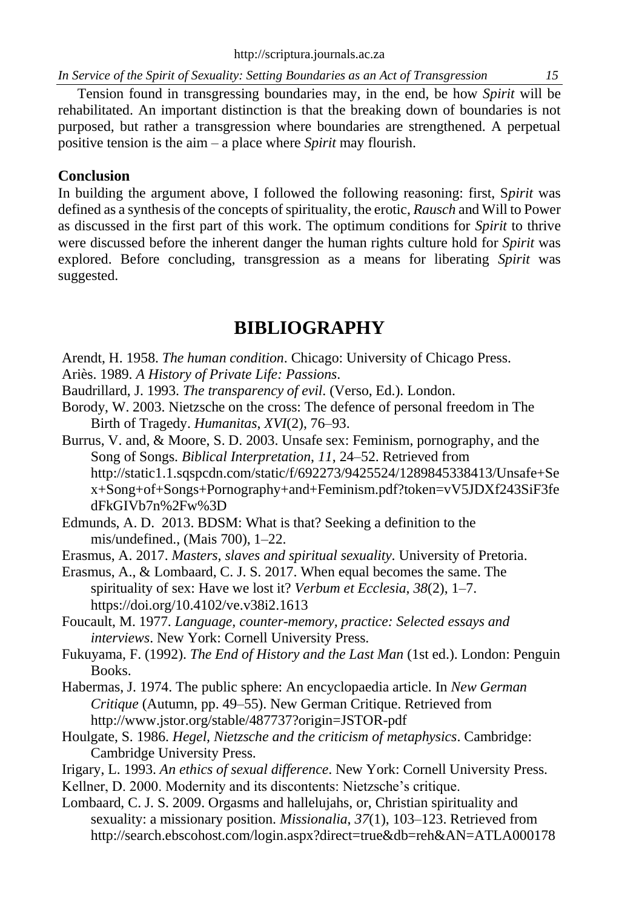Tension found in transgressing boundaries may, in the end, be how *Spirit* will be rehabilitated. An important distinction is that the breaking down of boundaries is not purposed, but rather a transgression where boundaries are strengthened. A perpetual positive tension is the aim – a place where *Spirit* may flourish.

# **Conclusion**

In building the argument above, I followed the following reasoning: first, S*pirit* was defined as a synthesis of the concepts of spirituality, the erotic, *Rausch* and Will to Power as discussed in the first part of this work. The optimum conditions for *Spirit* to thrive were discussed before the inherent danger the human rights culture hold for *Spirit* was explored. Before concluding, transgression as a means for liberating *Spirit* was suggested.

# **BIBLIOGRAPHY**

Arendt, H. 1958. *The human condition*. Chicago: University of Chicago Press.

Ariès. 1989. *A History of Private Life: Passions*.

Baudrillard, J. 1993. *The transparency of evil*. (Verso, Ed.). London.

- Borody, W. 2003. Nietzsche on the cross: The defence of personal freedom in The Birth of Tragedy. *Humanitas*, *XVI*(2), 76–93.
- Burrus, V. and, & Moore, S. D. 2003. Unsafe sex: Feminism, pornography, and the Song of Songs. *Biblical Interpretation*, *11*, 24–52. Retrieved from http://static1.1.sqspcdn.com/static/f/692273/9425524/1289845338413/Unsafe+Se x+Song+of+Songs+Pornography+and+Feminism.pdf?token=vV5JDXf243SiF3fe dFkGIVb7n%2Fw%3D

Edmunds, A. D. 2013. BDSM: What is that? Seeking a definition to the mis/undefined., (Mais 700), 1–22.

Erasmus, A. 2017. *Masters, slaves and spiritual sexuality*. University of Pretoria.

Erasmus, A., & Lombaard, C. J. S. 2017. When equal becomes the same. The spirituality of sex: Have we lost it? *Verbum et Ecclesia*, *38*(2), 1–7. https://doi.org/10.4102/ve.v38i2.1613

Foucault, M. 1977. *Language, counter-memory, practice: Selected essays and interviews*. New York: Cornell University Press.

Fukuyama, F. (1992). *The End of History and the Last Man* (1st ed.). London: Penguin Books.

Habermas, J. 1974. The public sphere: An encyclopaedia article. In *New German Critique* (Autumn, pp. 49–55). New German Critique. Retrieved from http://www.jstor.org/stable/487737?origin=JSTOR-pdf

- Houlgate, S. 1986. *Hegel, Nietzsche and the criticism of metaphysics*. Cambridge: Cambridge University Press.
- Irigary, L. 1993. *An ethics of sexual difference*. New York: Cornell University Press.
- Kellner, D. 2000. Modernity and its discontents: Nietzsche's critique.

Lombaard, C. J. S. 2009. Orgasms and hallelujahs, or, Christian spirituality and sexuality: a missionary position. *Missionalia*, *37*(1), 103–123. Retrieved from http://search.ebscohost.com/login.aspx?direct=true&db=reh&AN=ATLA000178